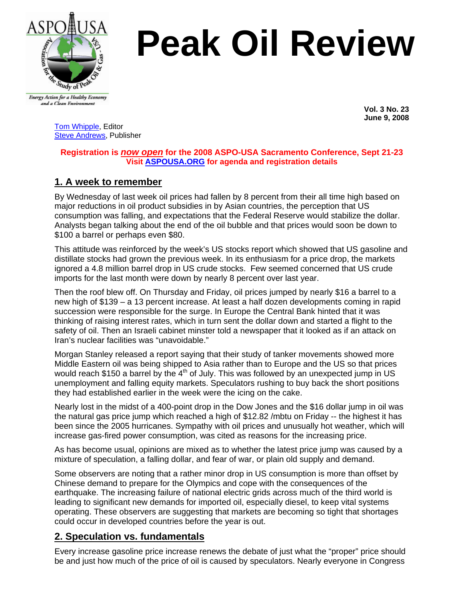

# **Peak Oil Review**

Energy Action for a Healthy Economy and a Clean Environment

 **Vol. 3 No. 23 June 9, 2008** 

[Tom Whipple,](mailto:twhipple@erols.com) Editor [Steve Andrews](mailto:sbandrews@worldnet.att.net), Publisher

### **Registration is** *now open* **for the 2008 ASPO-USA Sacramento Conference, Sept 21-23 Visit [ASPOUSA.ORG](http://aspousa.org/) for agenda and registration details**

# **1. A week to remember**

By Wednesday of last week oil prices had fallen by 8 percent from their all time high based on major reductions in oil product subsidies in by Asian countries, the perception that US consumption was falling, and expectations that the Federal Reserve would stabilize the dollar. Analysts began talking about the end of the oil bubble and that prices would soon be down to \$100 a barrel or perhaps even \$80.

This attitude was reinforced by the week's US stocks report which showed that US gasoline and distillate stocks had grown the previous week. In its enthusiasm for a price drop, the markets ignored a 4.8 million barrel drop in US crude stocks. Few seemed concerned that US crude imports for the last month were down by nearly 8 percent over last year.

Then the roof blew off. On Thursday and Friday, oil prices jumped by nearly \$16 a barrel to a new high of \$139 – a 13 percent increase. At least a half dozen developments coming in rapid succession were responsible for the surge. In Europe the Central Bank hinted that it was thinking of raising interest rates, which in turn sent the dollar down and started a flight to the safety of oil. Then an Israeli cabinet minster told a newspaper that it looked as if an attack on Iran's nuclear facilities was "unavoidable."

Morgan Stanley released a report saying that their study of tanker movements showed more Middle Eastern oil was being shipped to Asia rather than to Europe and the US so that prices would reach \$150 a barrel by the  $4<sup>th</sup>$  of July. This was followed by an unexpected jump in US unemployment and falling equity markets. Speculators rushing to buy back the short positions they had established earlier in the week were the icing on the cake.

Nearly lost in the midst of a 400-point drop in the Dow Jones and the \$16 dollar jump in oil was the natural gas price jump which reached a high of \$12.82 /mbtu on Friday -- the highest it has been since the 2005 hurricanes. Sympathy with oil prices and unusually hot weather, which will increase gas-fired power consumption, was cited as reasons for the increasing price.

As has become usual, opinions are mixed as to whether the latest price jump was caused by a mixture of speculation, a falling dollar, and fear of war, or plain old supply and demand.

Some observers are noting that a rather minor drop in US consumption is more than offset by Chinese demand to prepare for the Olympics and cope with the consequences of the earthquake. The increasing failure of national electric grids across much of the third world is leading to significant new demands for imported oil, especially diesel, to keep vital systems operating. These observers are suggesting that markets are becoming so tight that shortages could occur in developed countries before the year is out.

## **2. Speculation vs. fundamentals**

Every increase gasoline price increase renews the debate of just what the "proper" price should be and just how much of the price of oil is caused by speculators. Nearly everyone in Congress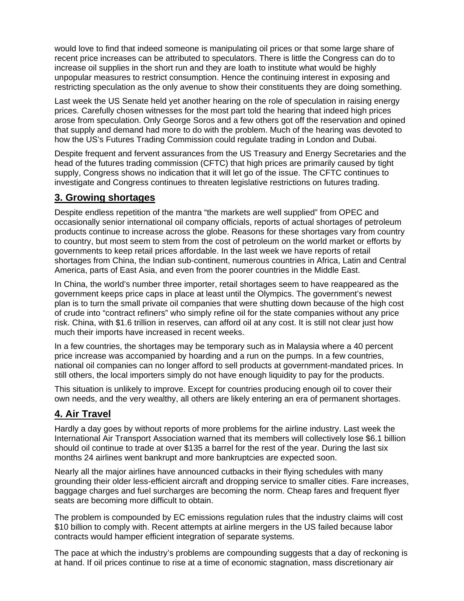would love to find that indeed someone is manipulating oil prices or that some large share of recent price increases can be attributed to speculators. There is little the Congress can do to increase oil supplies in the short run and they are loath to institute what would be highly unpopular measures to restrict consumption. Hence the continuing interest in exposing and restricting speculation as the only avenue to show their constituents they are doing something.

Last week the US Senate held yet another hearing on the role of speculation in raising energy prices. Carefully chosen witnesses for the most part told the hearing that indeed high prices arose from speculation. Only George Soros and a few others got off the reservation and opined that supply and demand had more to do with the problem. Much of the hearing was devoted to how the US's Futures Trading Commission could regulate trading in London and Dubai.

Despite frequent and fervent assurances from the US Treasury and Energy Secretaries and the head of the futures trading commission (CFTC) that high prices are primarily caused by tight supply, Congress shows no indication that it will let go of the issue. The CFTC continues to investigate and Congress continues to threaten legislative restrictions on futures trading.

## **3. Growing shortages**

Despite endless repetition of the mantra "the markets are well supplied" from OPEC and occasionally senior international oil company officials, reports of actual shortages of petroleum products continue to increase across the globe. Reasons for these shortages vary from country to country, but most seem to stem from the cost of petroleum on the world market or efforts by governments to keep retail prices affordable. In the last week we have reports of retail shortages from China, the Indian sub-continent, numerous countries in Africa, Latin and Central America, parts of East Asia, and even from the poorer countries in the Middle East.

In China, the world's number three importer, retail shortages seem to have reappeared as the government keeps price caps in place at least until the Olympics. The government's newest plan is to turn the small private oil companies that were shutting down because of the high cost of crude into "contract refiners" who simply refine oil for the state companies without any price risk. China, with \$1.6 trillion in reserves, can afford oil at any cost. It is still not clear just how much their imports have increased in recent weeks.

In a few countries, the shortages may be temporary such as in Malaysia where a 40 percent price increase was accompanied by hoarding and a run on the pumps. In a few countries, national oil companies can no longer afford to sell products at government-mandated prices. In still others, the local importers simply do not have enough liquidity to pay for the products.

This situation is unlikely to improve. Except for countries producing enough oil to cover their own needs, and the very wealthy, all others are likely entering an era of permanent shortages.

# **4. Air Travel**

Hardly a day goes by without reports of more problems for the airline industry. Last week the International Air Transport Association warned that its members will collectively lose \$6.1 billion should oil continue to trade at over \$135 a barrel for the rest of the year. During the last six months 24 airlines went bankrupt and more bankruptcies are expected soon.

Nearly all the major airlines have announced cutbacks in their flying schedules with many grounding their older less-efficient aircraft and dropping service to smaller cities. Fare increases, baggage charges and fuel surcharges are becoming the norm. Cheap fares and frequent flyer seats are becoming more difficult to obtain.

The problem is compounded by EC emissions regulation rules that the industry claims will cost \$10 billion to comply with. Recent attempts at airline mergers in the US failed because labor contracts would hamper efficient integration of separate systems.

The pace at which the industry's problems are compounding suggests that a day of reckoning is at hand. If oil prices continue to rise at a time of economic stagnation, mass discretionary air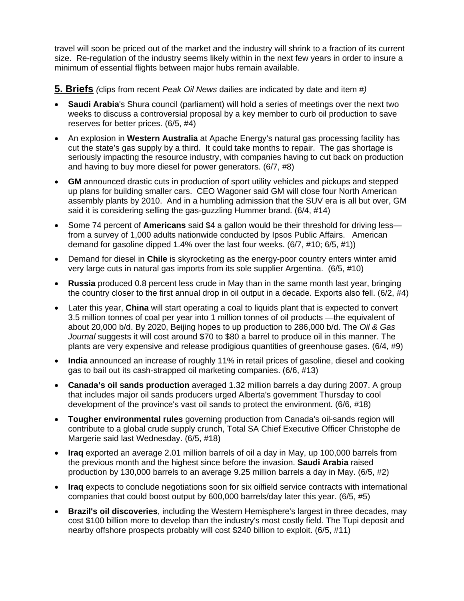travel will soon be priced out of the market and the industry will shrink to a fraction of its current size. Re-regulation of the industry seems likely within in the next few years in order to insure a minimum of essential flights between major hubs remain available.

**5. Briefs** *(*clips from recent *Peak Oil News* dailies are indicated by date and item *#)* 

- **Saudi Arabia**'s Shura council (parliament) will hold a series of meetings over the next two weeks to discuss a controversial proposal by a key member to curb oil production to save reserves for better prices. (6/5, #4)
- An explosion in **Western Australia** at Apache Energy's natural gas processing facility has cut the state's gas supply by a third. It could take months to repair. The gas shortage is seriously impacting the resource industry, with companies having to cut back on production and having to buy more diesel for power generators. (6/7, #8)
- **GM** announced drastic cuts in production of sport utility vehicles and pickups and stepped up plans for building smaller cars. CEO Wagoner said GM will close four North American assembly plants by 2010. And in a humbling admission that the SUV era is all but over, GM said it is considering selling the gas-guzzling Hummer brand. (6/4, #14)
- Some 74 percent of **Americans** said \$4 a gallon would be their threshold for driving less from a survey of 1,000 adults nationwide conducted by Ipsos Public Affairs. American demand for gasoline dipped 1.4% over the last four weeks. (6/7, #10; 6/5, #1))
- Demand for diesel in **Chile** is skyrocketing as the energy-poor country enters winter amid very large cuts in natural gas imports from its sole supplier Argentina. (6/5, #10)
- **Russia** produced 0.8 percent less crude in May than in the same month last year, bringing the country closer to the first annual drop in oil output in a decade. Exports also fell. (6/2, #4)
- Later this year, **China** will start operating a coal to liquids plant that is expected to convert 3.5 million tonnes of coal per year into 1 million tonnes of oil products —the equivalent of about 20,000 b/d. By 2020, Beijing hopes to up production to 286,000 b/d. The *Oil & Gas Journal* suggests it will cost around \$70 to \$80 a barrel to produce oil in this manner. The plants are very expensive and release prodigious quantities of greenhouse gases. (6/4, #9)
- **India** announced an increase of roughly 11% in retail prices of gasoline, diesel and cooking gas to bail out its cash-strapped oil marketing companies. (6/6, #13)
- **Canada's oil sands production** averaged 1.32 million barrels a day during 2007. A group that includes major oil sands producers urged Alberta's government Thursday to cool development of the province's vast oil sands to protect the environment. (6/6, #18)
- **Tougher environmental rules** governing production from Canada's oil-sands region will contribute to a global crude supply crunch, Total SA Chief Executive Officer Christophe de Margerie said last Wednesday. (6/5, #18)
- **Iraq** exported an average 2.01 million barrels of oil a day in May, up 100,000 barrels from the previous month and the highest since before the invasion. **Saudi Arabia** raised production by 130,000 barrels to an average 9.25 million barrels a day in May. (6/5, #2)
- **Iraq** expects to conclude negotiations soon for six oilfield service contracts with international companies that could boost output by 600,000 barrels/day later this year. (6/5, #5)
- **Brazil's oil discoveries**, including the Western Hemisphere's largest in three decades, may cost \$100 billion more to develop than the industry's most costly field. The Tupi deposit and nearby offshore prospects probably will cost \$240 billion to exploit. (6/5, #11)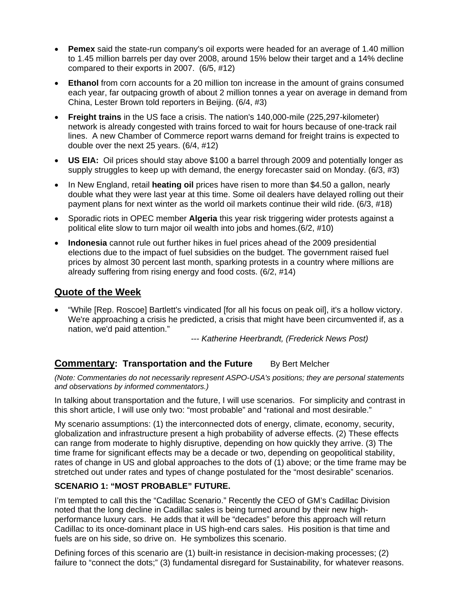- **Pemex** said the state-run company's oil exports were headed for an average of 1.40 million to 1.45 million barrels per day over 2008, around 15% below their target and a 14% decline compared to their exports in 2007. (6/5, #12)
- Ethanol from corn accounts for a 20 million ton increase in the amount of grains consumed each year, far outpacing growth of about 2 million tonnes a year on average in demand from China, Lester Brown told reporters in Beijing. (6/4, #3)
- **Freight trains** in the US face a crisis. The nation's 140,000-mile (225,297-kilometer) network is already congested with trains forced to wait for hours because of one-track rail lines. A new Chamber of Commerce report warns demand for freight trains is expected to double over the next 25 years. (6/4, #12)
- **US EIA:** Oil prices should stay above \$100 a barrel through 2009 and potentially longer as supply struggles to keep up with demand, the energy forecaster said on Monday. (6/3, #3)
- In New England, retail **heating oil** prices have risen to more than \$4.50 a gallon, nearly double what they were last year at this time. Some oil dealers have delayed rolling out their payment plans for next winter as the world oil markets continue their wild ride. (6/3, #18)
- Sporadic riots in OPEC member **Algeria** this year risk triggering wider protests against a political elite slow to turn major oil wealth into jobs and homes.(6/2, #10)
- **Indonesia** cannot rule out further hikes in fuel prices ahead of the 2009 presidential elections due to the impact of fuel subsidies on the budget. The government raised fuel prices by almost 30 percent last month, sparking protests in a country where millions are already suffering from rising energy and food costs. (6/2, #14)

## **Quote of the Week**

• "While [Rep. Roscoe] Bartlett's vindicated [for all his focus on peak oil], it's a hollow victory. We're approaching a crisis he predicted, a crisis that might have been circumvented if, as a nation, we'd paid attention."

*--- Katherine Heerbrandt, (Frederick News Post)* 

## **Commentary: Transportation and the Future** By Bert Melcher

*(Note: Commentaries do not necessarily represent ASPO-USA's positions; they are personal statements and observations by informed commentators.)*

In talking about transportation and the future, I will use scenarios. For simplicity and contrast in this short article, I will use only two: "most probable" and "rational and most desirable."

My scenario assumptions: (1) the interconnected dots of energy, climate, economy, security, globalization and infrastructure present a high probability of adverse effects. (2) These effects can range from moderate to highly disruptive, depending on how quickly they arrive. (3) The time frame for significant effects may be a decade or two, depending on geopolitical stability, rates of change in US and global approaches to the dots of (1) above; or the time frame may be stretched out under rates and types of change postulated for the "most desirable" scenarios.

#### **SCENARIO 1: "MOST PROBABLE" FUTURE.**

I'm tempted to call this the "Cadillac Scenario." Recently the CEO of GM's Cadillac Division noted that the long decline in Cadillac sales is being turned around by their new highperformance luxury cars. He adds that it will be "decades" before this approach will return Cadillac to its once-dominant place in US high-end cars sales. His position is that time and fuels are on his side, so drive on. He symbolizes this scenario.

Defining forces of this scenario are (1) built-in resistance in decision-making processes; (2) failure to "connect the dots;" (3) fundamental disregard for Sustainability, for whatever reasons.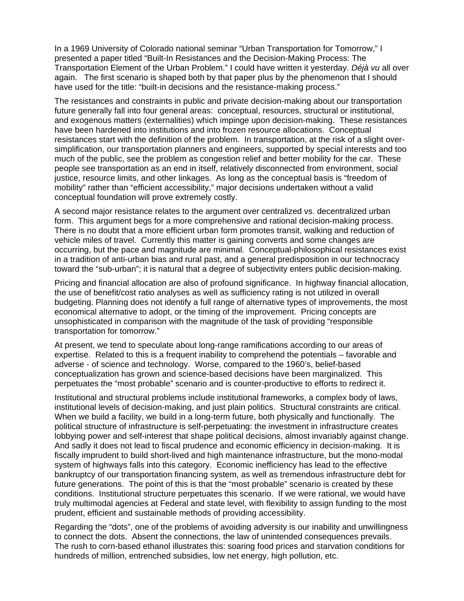In a 1969 University of Colorado national seminar "Urban Transportation for Tomorrow," I presented a paper titled "Built-In Resistances and the Decision-Making Process: The Transportation Element of the Urban Problem." I could have written it yesterday. *Déjà vu* all over again. The first scenario is shaped both by that paper plus by the phenomenon that I should have used for the title: "built-in decisions and the resistance-making process."

The resistances and constraints in public and private decision-making about our transportation future generally fall into four general areas: conceptual, resources, structural or institutional, and exogenous matters (externalities) which impinge upon decision-making. These resistances have been hardened into institutions and into frozen resource allocations. Conceptual resistances start with the definition of the problem. In transportation, at the risk of a slight oversimplification, our transportation planners and engineers, supported by special interests and too much of the public, see the problem as congestion relief and better mobility for the car. These people see transportation as an end in itself, relatively disconnected from environment, social justice, resource limits, and other linkages. As long as the conceptual basis is "freedom of mobility" rather than "efficient accessibility," major decisions undertaken without a valid conceptual foundation will prove extremely costly.

A second major resistance relates to the argument over centralized vs. decentralized urban form. This argument begs for a more comprehensive and rational decision-making process. There is no doubt that a more efficient urban form promotes transit, walking and reduction of vehicle miles of travel. Currently this matter is gaining converts and some changes are occurring, but the pace and magnitude are minimal. Conceptual-philosophical resistances exist in a tradition of anti-urban bias and rural past, and a general predisposition in our technocracy toward the "sub-urban"; it is natural that a degree of subjectivity enters public decision-making.

Pricing and financial allocation are also of profound significance. In highway financial allocation, the use of benefit/cost ratio analyses as well as sufficiency rating is not utilized in overall budgeting. Planning does not identify a full range of alternative types of improvements, the most economical alternative to adopt, or the timing of the improvement. Pricing concepts are unsophisticated in comparison with the magnitude of the task of providing "responsible transportation for tomorrow."

At present, we tend to speculate about long-range ramifications according to our areas of expertise. Related to this is a frequent inability to comprehend the potentials – favorable and adverse - of science and technology. Worse, compared to the 1960's, belief-based conceptualization has grown and science-based decisions have been marginalized. This perpetuates the "most probable" scenario and is counter-productive to efforts to redirect it.

Institutional and structural problems include institutional frameworks, a complex body of laws, institutional levels of decision-making, and just plain politics. Structural constraints are critical. When we build a facility, we build in a long-term future, both physically and functionally. The political structure of infrastructure is self-perpetuating: the investment in infrastructure creates lobbying power and self-interest that shape political decisions, almost invariably against change. And sadly it does not lead to fiscal prudence and economic efficiency in decision-making. It is fiscally imprudent to build short-lived and high maintenance infrastructure, but the mono-modal system of highways falls into this category. Economic inefficiency has lead to the effective bankruptcy of our transportation financing system, as well as tremendous infrastructure debt for future generations. The point of this is that the "most probable" scenario is created by these conditions. Institutional structure perpetuates this scenario. If we were rational, we would have truly multimodal agencies at Federal and state level, with flexibility to assign funding to the most prudent, efficient and sustainable methods of providing accessibility.

Regarding the "dots", one of the problems of avoiding adversity is our inability and unwillingness to connect the dots. Absent the connections, the law of unintended consequences prevails. The rush to corn-based ethanol illustrates this: soaring food prices and starvation conditions for hundreds of million, entrenched subsidies, low net energy, high pollution, etc.